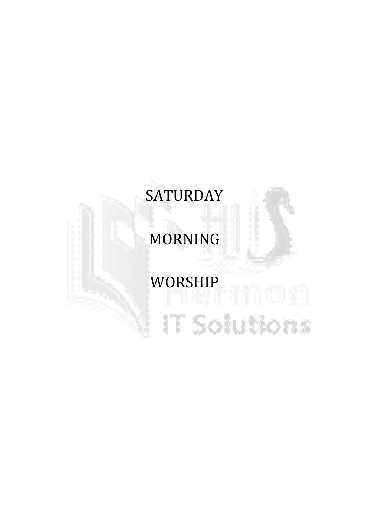# **SATURDAY**

# MORNING

# WORSHIP<br>Manazarta 1990 - 1991 - 1991 - 1991 - 1991 - 1991 - 1991 - 1991 - 1991 - 1991 - 1991 - 1991 - 1991 - 1991 - 19 IT Solutions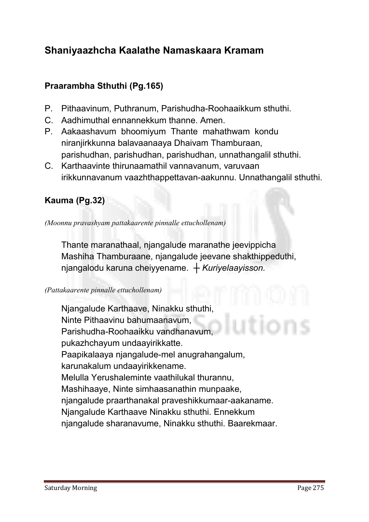# Shaniyaazhcha Kaalathe Namaskaara Kramam

# Praarambha Sthuthi (Pg.165)

- **P. Pithaavinum, Puthranum, Parishudha-Roohaaikkum sthuthi.**
- **C. Aadhimuthal ennannekkum thanne. Amen.**
- **P. Aakaashavum bhoomiyum Thante mahathwam kondu niranjirkkunna balavaanaaya Dhaivam Thamburaan, parishudhan, parishudhan, parishudhan, unnathangalil sthuthi.**
- **C. Karthaavinte thirunaamathil vannavanum, varuvaan irikkunnavanum vaazhthappettavan-aakunnu. Unnathangalil sthuthi.**

# Kauma (Pg.32)

*(Moonnu pravashyam pattakaarente pinnalle ettuchollenam)*

**Thante maranathaal, njangalude maranathe jeevippicha Mashiha Thamburaane, njangalude jeevane shakthippeduthi, njangalodu karuna cheiyyename.** *┼ Kuriyelaayisson.*

#### *(Pattakaarente pinnalle ettuchollenam)*

**Njangalude Karthaave, Ninakku sthuthi, Ninte Pithaavinu bahumaanavum, Parishudha-Roohaaikku vandhanavum, pukazhchayum undaayirikkatte. Paapikalaaya njangalude-mel anugrahangalum, karunakalum undaayirikkename. Melulla Yerushaleminte vaathilukal thurannu, Mashihaaye, Ninte simhaasanathin munpaake, njangalude praarthanakal praveshikkumaar-aakaname. Njangalude Karthaave Ninakku sthuthi. Ennekkum njangalude sharanavume, Ninakku sthuthi. Baarekmaar.**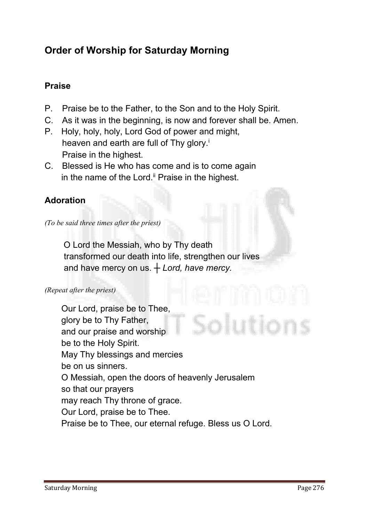# Order of Worship for Saturday Morning

# Praise

- **P. Praise be to the Father, to the Son and to the Holy Spirit.**
- **C. As it was in the beginning, is now and forever shall be. Amen.**
- **P. Holy, holy, holy, Lord God of power and might, heaven and earth are full of Thy glory.i Praise in the highest.**
- **C. Blessed is He who has come and is to come again in the name of the Lord.ii Praise in the highest.**

# Adoration

*(To be said three times after the priest)*

 **O Lord the Messiah, who by Thy death transformed our death into life, strengthen our lives and have mercy on us.** *┼ Lord, have mercy.*

#### *(Repeat after the priest)*

**Our Lord, praise be to Thee, glory be to Thy Father, and our praise and worship be to the Holy Spirit. May Thy blessings and mercies be on us sinners. O Messiah, open the doors of heavenly Jerusalem so that our prayers may reach Thy throne of grace. Our Lord, praise be to Thee. Praise be to Thee, our eternal refuge. Bless us O Lord.**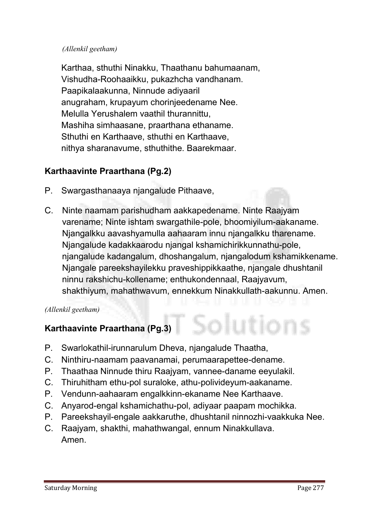#### *(Allenkil geetham)*

**Karthaa, sthuthi Ninakku, Thaathanu bahumaanam, Vishudha-Roohaaikku, pukazhcha vandhanam. Paapikalaakunna, Ninnude adiyaaril anugraham, krupayum chorinjeedename Nee. Melulla Yerushalem vaathil thurannittu, Mashiha simhaasane, praarthana ethaname. Sthuthi en Karthaave, sthuthi en Karthaave, nithya sharanavume, sthuthithe. Baarekmaar.**

# Karthaavinte Praarthana (Pg.2)

- **P. Swargasthanaaya njangalude Pithaave,**
- **C. Ninte naamam parishudham aakkapedename. Ninte Raajyam varename; Ninte ishtam swargathile-pole, bhoomiyilum-aakaname. Njangalkku aavashyamulla aahaaram innu njangalkku tharename. Njangalude kadakkaarodu njangal kshamichirikkunnathu-pole, njangalude kadangalum, dhoshangalum, njangalodum kshamikkename. Njangale pareekshayilekku praveshippikkaathe, njangale dhushtanil ninnu rakshichu-kollename; enthukondennaal, Raajyavum, shakthiyum, mahathwavum, ennekkum Ninakkullath-aakunnu. Amen.**

#### *(Allenkil geetham)*

# Karthaavinte Praarthana (Pg.3)

- **P. Swarlokathil-irunnarulum Dheva, njangalude Thaatha,**
- **C. Ninthiru-naamam paavanamai, perumaarapettee-dename.**
- **P. Thaathaa Ninnude thiru Raajyam, vannee-daname eeyulakil.**
- **C. Thiruhitham ethu-pol suraloke, athu-polivideyum-aakaname.**
- **P. Vendunn-aahaaram engalkkinn-ekaname Nee Karthaave.**
- **C. Anyarod-engal kshamichathu-pol, adiyaar paapam mochikka.**
- **P. Pareekshayil-engale aakkaruthe, dhushtanil ninnozhi-vaakkuka Nee.**
- **C. Raajyam, shakthi, mahathwangal, ennum Ninakkullava. Amen.**

iutions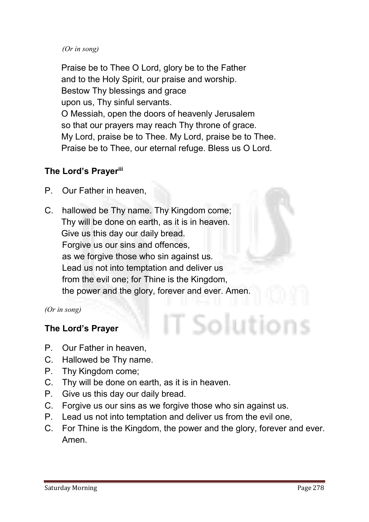#### *(Or in song)*

**Praise be to Thee O Lord, glory be to the Father and to the Holy Spirit, our praise and worship. Bestow Thy blessings and grace upon us, Thy sinful servants. O Messiah, open the doors of heavenly Jerusalem so that our prayers may reach Thy throne of grace. My Lord, praise be to Thee. My Lord, praise be to Thee. Praise be to Thee, our eternal refuge. Bless us O Lord.**

# The Lord's Prayerili

- **P. Our Father in heaven,**
- **C. hallowed be Thy name. Thy Kingdom come; Thy will be done on earth, as it is in heaven. Give us this day our daily bread. Forgive us our sins and offences, as we forgive those who sin against us. Lead us not into temptation and deliver us from the evil one; for Thine is the Kingdom, the power and the glory, forever and ever. Amen.**

*(Or in song)*

# The Lord's Prayer

- **P. Our Father in heaven,**
- **C. Hallowed be Thy name.**
- **P. Thy Kingdom come;**
- **C. Thy will be done on earth, as it is in heaven.**
- **P. Give us this day our daily bread.**
- **C. Forgive us our sins as we forgive those who sin against us.**
- **P. Lead us not into temptation and deliver us from the evil one,**
- **C. For Thine is the Kingdom, the power and the glory, forever and ever. Amen.**

T Solution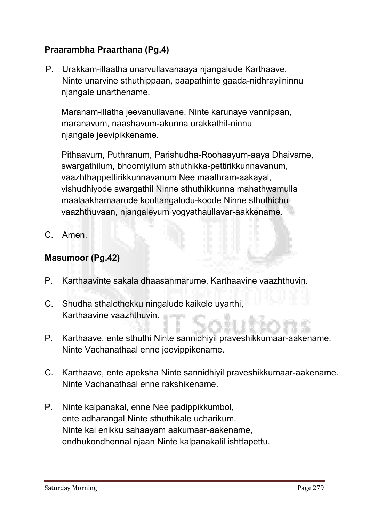# Praarambha Praarthana (Pg.4)

**P. Urakkam-illaatha unarvullavanaaya njangalude Karthaave, Ninte unarvine sthuthippaan, paapathinte gaada-nidhrayilninnu njangale unarthename.** 

**Maranam-illatha jeevanullavane, Ninte karunaye vannipaan, maranavum, naashavum-akunna urakkathil-ninnu njangale jeevipikkename.** 

**Pithaavum, Puthranum, Parishudha-Roohaayum-aaya Dhaivame, swargathilum, bhoomiyilum sthuthikka-pettirikkunnavanum, vaazhthappettirikkunnavanum Nee maathram-aakayal, vishudhiyode swargathil Ninne sthuthikkunna mahathwamulla maalaakhamaarude koottangalodu-koode Ninne sthuthichu vaazhthuvaan, njangaleyum yogyathaullavar-aakkename.**

**C. Amen.** 

# Masumoor (Pg.42)

- **P. Karthaavinte sakala dhaasanmarume, Karthaavine vaazhthuvin.**
- **C. Shudha sthalethekku ningalude kaikele uyarthi, Karthaavine vaazhthuvin.**
- **P. Karthaave, ente sthuthi Ninte sannidhiyil praveshikkumaar-aakename. Ninte Vachanathaal enne jeevippikename.**
- **C. Karthaave, ente apeksha Ninte sannidhiyil praveshikkumaar-aakename. Ninte Vachanathaal enne rakshikename.**
- **P. Ninte kalpanakal, enne Nee padippikkumbol, ente adharangal Ninte sthuthikale ucharikum. Ninte kai enikku sahaayam aakumaar-aakename, endhukondhennal njaan Ninte kalpanakalil ishttapettu.**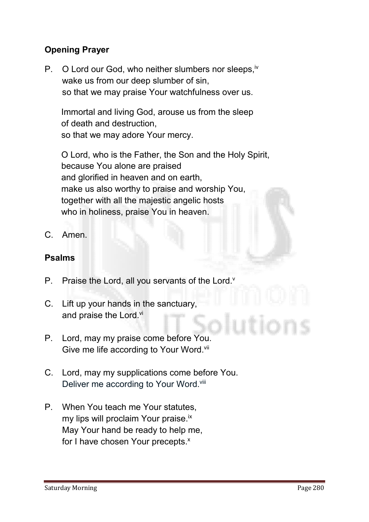# Opening Prayer

**P. O Lord our God, who neither slumbers nor sleeps,iv wake us from our deep slumber of sin, so that we may praise Your watchfulness over us.** 

**Immortal and living God, arouse us from the sleep of death and destruction, so that we may adore Your mercy.** 

**O Lord, who is the Father, the Son and the Holy Spirit, because You alone are praised and glorified in heaven and on earth, make us also worthy to praise and worship You, together with all the majestic angelic hosts who in holiness, praise You in heaven.**

**C. Amen.**

# Psalms

- **P. Praise the Lord, all you servants of the Lord.v**
- **C. Lift up your hands in the sanctuary, and praise the Lord.vi**
- **P. Lord, may my praise come before You.**  Give me life according to Your Word.<sup>vii</sup>
- **C. Lord, may my supplications come before You. Deliver me according to Your Word.viii**
- **P. When You teach me Your statutes, my lips will proclaim Your praise.ix May Your hand be ready to help me,** for I have chosen Your precepts.<sup>x</sup>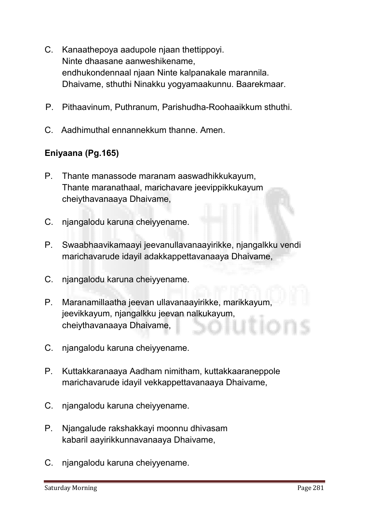- **C. Kanaathepoya aadupole njaan thettippoyi. Ninte dhaasane aanweshikename, endhukondennaal njaan Ninte kalpanakale marannila. Dhaivame, sthuthi Ninakku yogyamaakunnu. Baarekmaar.**
- **P. Pithaavinum, Puthranum, Parishudha-Roohaaikkum sthuthi.**
- **C. Aadhimuthal ennannekkum thanne. Amen.**

# Eniyaana (Pg.165)

- **P. Thante manassode maranam aaswadhikkukayum, Thante maranathaal, marichavare jeevippikkukayum cheiythavanaaya Dhaivame,**
- **C. njangalodu karuna cheiyyename.**
- **P. Swaabhaavikamaayi jeevanullavanaayirikke, njangalkku vendi marichavarude idayil adakkappettavanaaya Dhaivame,**
- **C. njangalodu karuna cheiyyename.**
- **P. Maranamillaatha jeevan ullavanaayirikke, marikkayum, jeevikkayum, njangalkku jeevan nalkukayum, cheiythavanaaya Dhaivame,**
- **C. njangalodu karuna cheiyyename.**
- **P. Kuttakkaranaaya Aadham nimitham, kuttakkaaraneppole marichavarude idayil vekkappettavanaaya Dhaivame,**
- **C. njangalodu karuna cheiyyename.**
- **P. Njangalude rakshakkayi moonnu dhivasam kabaril aayirikkunnavanaaya Dhaivame,**
- **C. njangalodu karuna cheiyyename.**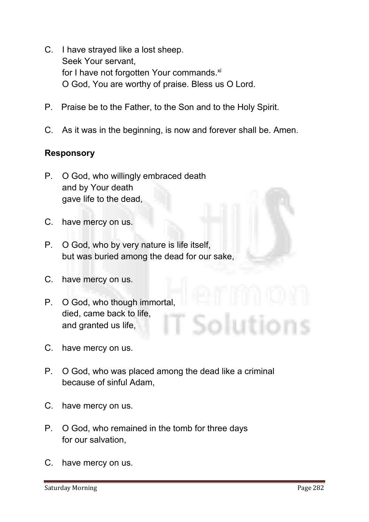- **C. I have strayed like a lost sheep. Seek Your servant,** for I have not forgotten Your commands.<sup>xi</sup> **O God, You are worthy of praise. Bless us O Lord.**
- **P. Praise be to the Father, to the Son and to the Holy Spirit.**
- **C. As it was in the beginning, is now and forever shall be. Amen.**

# Responsory

- **P. O God, who willingly embraced death and by Your death gave life to the dead,**
- **C. have mercy on us.**
- **P. O God, who by very nature is life itself, but was buried among the dead for our sake,**
- **C. have mercy on us.**
- **P. O God, who though immortal, died, came back to life,** ìolutions **and granted us life,**
- **C. have mercy on us.**
- **P. O God, who was placed among the dead like a criminal because of sinful Adam,**
- **C. have mercy on us.**
- **P. O God, who remained in the tomb for three days for our salvation,**
- **C. have mercy on us.**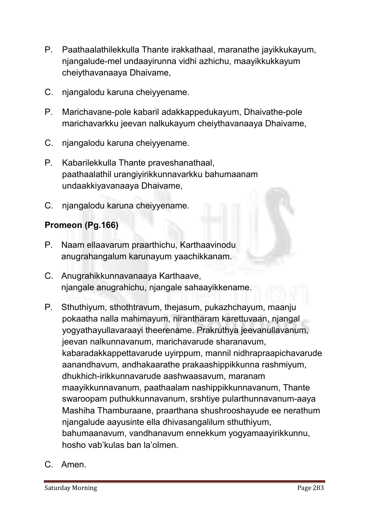- **P. Paathaalathilekkulla Thante irakkathaal, maranathe jayikkukayum, njangalude-mel undaayirunna vidhi azhichu, maayikkukkayum cheiythavanaaya Dhaivame,**
- **C. njangalodu karuna cheiyyename.**
- **P. Marichavane-pole kabaril adakkappedukayum, Dhaivathe-pole marichavarkku jeevan nalkukayum cheiythavanaaya Dhaivame,**
- **C. njangalodu karuna cheiyyename.**
- **P. Kabarilekkulla Thante praveshanathaal, paathaalathil urangiyirikkunnavarkku bahumaanam undaakkiyavanaaya Dhaivame,**
- **C. njangalodu karuna cheiyyename.**

# Promeon (Pg.166)

- **P. Naam ellaavarum praarthichu, Karthaavinodu anugrahangalum karunayum yaachikkanam.**
- **C. Anugrahikkunnavanaaya Karthaave, njangale anugrahichu, njangale sahaayikkename.**
- **P. Sthuthiyum, sthothtravum, thejasum, pukazhchayum, maanju pokaatha nalla mahimayum, nirantharam karettuvaan, njangal yogyathayullavaraayi theerename. Prakruthya jeevanullavanum, jeevan nalkunnavanum, marichavarude sharanavum, kabaradakkappettavarude uyirppum, mannil nidhrapraapichavarude aanandhavum, andhakaarathe prakaashippikkunna rashmiyum, dhukhich-irikkunnavarude aashwaasavum, maranam maayikkunnavanum, paathaalam nashippikkunnavanum, Thante swaroopam puthukkunnavanum, srshtiye pularthunnavanum-aaya Mashiha Thamburaane, praarthana shushrooshayude ee nerathum njangalude aayusinte ella dhivasangalilum sthuthiyum, bahumaanavum, vandhanavum ennekkum yogyamaayirikkunnu, hosho vab'kulas ban la'olmen.**
- **C. Amen.**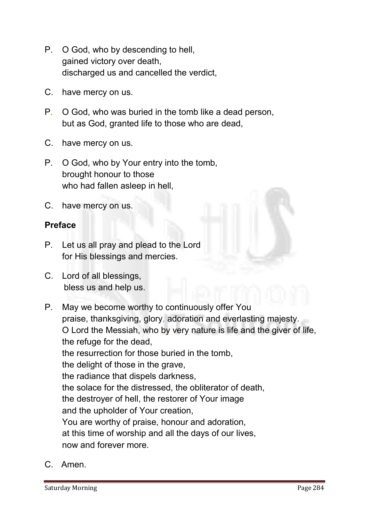- **P. O God, who by descending to hell, gained victory over death, discharged us and cancelled the verdict,**
- **C. have mercy on us.**
- **P. O God, who was buried in the tomb like a dead person, but as God, granted life to those who are dead,**
- **C. have mercy on us.**
- **P. O God, who by Your entry into the tomb, brought honour to those who had fallen asleep in hell,**
- **C. have mercy on us.**

#### Preface

- **P. Let us all pray and plead to the Lord for His blessings and mercies.**
- **C. Lord of all blessings, bless us and help us.**
- **P. May we become worthy to continuously offer You praise, thanksgiving, glory, adoration and everlasting majesty. O Lord the Messiah, who by very nature is life and the giver of life, the refuge for the dead, the resurrection for those buried in the tomb, the delight of those in the grave, the radiance that dispels darkness, the solace for the distressed, the obliterator of death, the destroyer of hell, the restorer of Your image and the upholder of Your creation, You are worthy of praise, honour and adoration, at this time of worship and all the days of our lives, now and forever more.**
- **C. Amen.**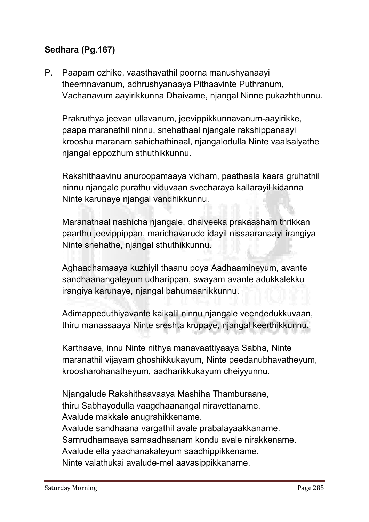# Sedhara (Pg.167)

**P. Paapam ozhike, vaasthavathil poorna manushyanaayi theernnavanum, adhrushyanaaya Pithaavinte Puthranum, Vachanavum aayirikkunna Dhaivame, njangal Ninne pukazhthunnu.**

**Prakruthya jeevan ullavanum, jeevippikkunnavanum-aayirikke, paapa maranathil ninnu, snehathaal njangale rakshippanaayi krooshu maranam sahichathinaal, njangalodulla Ninte vaalsalyathe njangal eppozhum sthuthikkunnu.** 

**Rakshithaavinu anuroopamaaya vidham, paathaala kaara gruhathil ninnu njangale purathu viduvaan svecharaya kallarayil kidanna Ninte karunaye njangal vandhikkunnu.**

**Maranathaal nashicha njangale, dhaiveeka prakaasham thrikkan paarthu jeevippippan, marichavarude idayil nissaaranaayi irangiya Ninte snehathe, njangal sthuthikkunnu.** 

**Aghaadhamaaya kuzhiyil thaanu poya Aadhaamineyum, avante sandhaanangaleyum udharippan, swayam avante adukkalekku irangiya karunaye, njangal bahumaanikkunnu.** 

**Adimappeduthiyavante kaikalil ninnu njangale veendedukkuvaan, thiru manassaaya Ninte sreshta krupaye, njangal keerthikkunnu.**

**Karthaave, innu Ninte nithya manavaattiyaaya Sabha, Ninte maranathil vijayam ghoshikkukayum, Ninte peedanubhavatheyum, kroosharohanatheyum, aadharikkukayum cheiyyunnu.** 

**Njangalude Rakshithaavaaya Mashiha Thamburaane, thiru Sabhayodulla vaagdhaanangal niravettaname. Avalude makkale anugrahikkename. Avalude sandhaana vargathil avale prabalayaakkaname. Samrudhamaaya samaadhaanam kondu avale nirakkename. Avalude ella yaachanakaleyum saadhippikkename. Ninte valathukai avalude-mel aavasippikkaname.**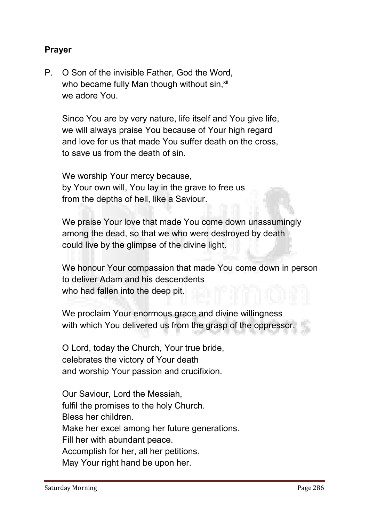# Prayer

**P. O Son of the invisible Father, God the Word,**  who became fully Man though without sin,<sup>xii</sup> **we adore You.**

**Since You are by very nature, life itself and You give life, we will always praise You because of Your high regard and love for us that made You suffer death on the cross, to save us from the death of sin.**

**We worship Your mercy because, by Your own will, You lay in the grave to free us from the depths of hell, like a Saviour.**

**We praise Your love that made You come down unassumingly among the dead, so that we who were destroyed by death could live by the glimpse of the divine light.**

**We honour Your compassion that made You come down in person to deliver Adam and his descendents who had fallen into the deep pit.**

**We proclaim Your enormous grace and divine willingness with which You delivered us from the grasp of the oppressor.**

**O Lord, today the Church, Your true bride, celebrates the victory of Your death and worship Your passion and crucifixion.** 

**Our Saviour, Lord the Messiah, fulfil the promises to the holy Church. Bless her children. Make her excel among her future generations. Fill her with abundant peace. Accomplish for her, all her petitions. May Your right hand be upon her.**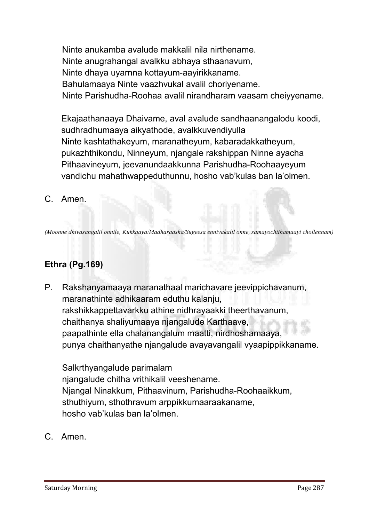**Ninte anukamba avalude makkalil nila nirthename. Ninte anugrahangal avalkku abhaya sthaanavum, Ninte dhaya uyarnna kottayum-aayirikkaname. Bahulamaaya Ninte vaazhvukal avalil choriyename. Ninte Parishudha-Roohaa avalil nirandharam vaasam cheiyyename.**

**Ekajaathanaaya Dhaivame, aval avalude sandhaanangalodu koodi, sudhradhumaaya aikyathode, avalkkuvendiyulla Ninte kashtathakeyum, maranatheyum, kabaradakkatheyum, pukazhthikondu, Ninneyum, njangale rakshippan Ninne ayacha Pithaavineyum, jeevanundaakkunna Parishudha-Roohaayeyum vandichu mahathwappeduthunnu, hosho vab'kulas ban la'olmen.**

# **C. Amen.**

*(Moonne dhivasangalil onnile, Kukkaaya/Madharaasha/Sugeesa ennivakalil onne, samayochithamaayi chollennam)*

# Ethra (Pg.169)

**P. Rakshanyamaaya maranathaal marichavare jeevippichavanum, maranathinte adhikaaram eduthu kalanju, rakshikkappettavarkku athine nidhrayaakki theerthavanum, chaithanya shaliyumaaya njangalude Karthaave, paapathinte ella chalanangalum maatti, nirdhoshamaaya, punya chaithanyathe njangalude avayavangalil vyaapippikkaname.** 

**Salkrthyangalude parimalam njangalude chitha vrithikalil veeshename. Njangal Ninakkum, Pithaavinum, Parishudha-Roohaaikkum, sthuthiyum, sthothravum arppikkumaaraakaname, hosho vab'kulas ban la'olmen.**

**C. Amen.**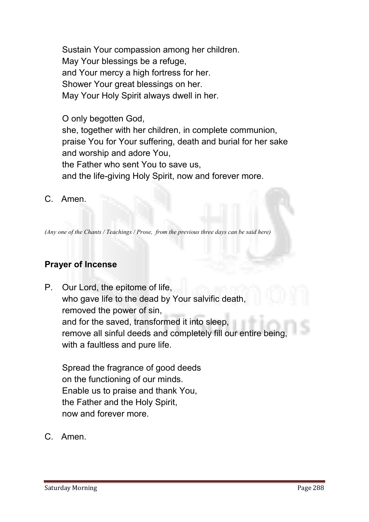**Sustain Your compassion among her children. May Your blessings be a refuge, and Your mercy a high fortress for her. Shower Your great blessings on her. May Your Holy Spirit always dwell in her.**

**O only begotten God, she, together with her children, in complete communion, praise You for Your suffering, death and burial for her sake and worship and adore You, the Father who sent You to save us, and the life-giving Holy Spirit, now and forever more.**

**C. Amen.**

*(Any one of the Chants / Teachings / Prose, from the previous three days can be said here)*

# Prayer of Incense

**P. Our Lord, the epitome of life, who gave life to the dead by Your salvific death, removed the power of sin, and for the saved, transformed it into sleep, remove all sinful deeds and completely fill our entire being, with a faultless and pure life.**

**Spread the fragrance of good deeds on the functioning of our minds. Enable us to praise and thank You, the Father and the Holy Spirit, now and forever more.**

**C. Amen.**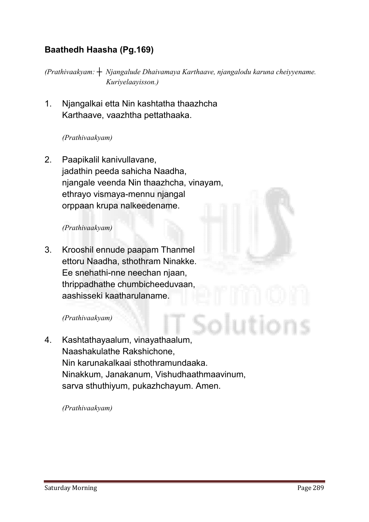# Baathedh Haasha (Pg.169)

*(Prathivaakyam: ┼ Njangalude Dhaivamaya Karthaave, njangalodu karuna cheiyyename. Kuriyelaayisson.)*

**1. Njangalkai etta Nin kashtatha thaazhcha Karthaave, vaazhtha pettathaaka.**

#### *(Prathivaakyam)*

**2. Paapikalil kanivullavane, jadathin peeda sahicha Naadha, njangale veenda Nin thaazhcha, vinayam, ethrayo vismaya-mennu njangal orppaan krupa nalkeedename.**

#### *(Prathivaakyam)*

**3. Krooshil ennude paapam Thanmel ettoru Naadha, sthothram Ninakke. Ee snehathi-nne neechan njaan, thrippadhathe chumbicheeduvaan, aashisseki kaatharulaname.**

#### *(Prathivaakyam)*

**4. Kashtathayaalum, vinayathaalum, Naashakulathe Rakshichone, Nin karunakalkaai sthothramundaaka. Ninakkum, Janakanum, Vishudhaathmaavinum, sarva sthuthiyum, pukazhchayum. Amen.**

*(Prathivaakyam)*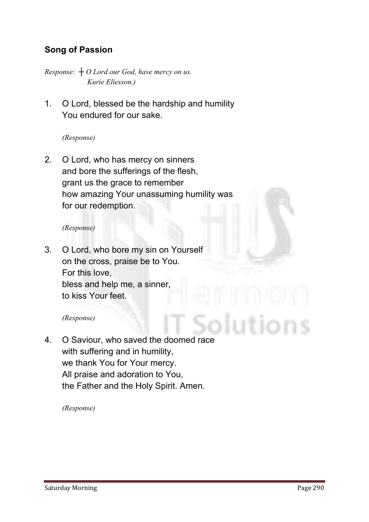# Song of Passion

*Response: ┼ O Lord our God, have mercy on us. Kurie Eliesson.)*

**1. O Lord, blessed be the hardship and humility You endured for our sake.**

*(Response)*

**2. O Lord, who has mercy on sinners and bore the sufferings of the flesh, grant us the grace to remember how amazing Your unassuming humility was for our redemption.**

#### *(Response)*

**3. O Lord, who bore my sin on Yourself on the cross, praise be to You. For this love, bless and help me, a sinner, to kiss Your feet.**

#### *(Response)*

**4. O Saviour, who saved the doomed race with suffering and in humility, we thank You for Your mercy. All praise and adoration to You, the Father and the Holy Spirit. Amen.**

*(Response)*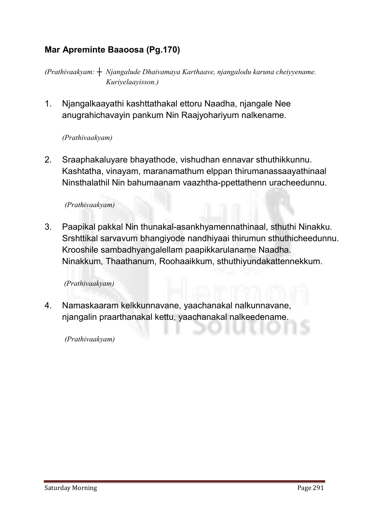# Mar Apreminte Baaoosa (Pg.170)

*(Prathivaakyam: ┼ Njangalude Dhaivamaya Karthaave, njangalodu karuna cheiyyename. Kuriyelaayisson.)*

**1. Njangalkaayathi kashttathakal ettoru Naadha, njangale Nee anugrahichavayin pankum Nin Raajyohariyum nalkename.**

#### *(Prathivaakyam)*

**2. Sraaphakaluyare bhayathode, vishudhan ennavar sthuthikkunnu. Kashtatha, vinayam, maranamathum elppan thirumanassaayathinaal Ninsthalathil Nin bahumaanam vaazhtha-ppettathenn uracheedunnu.**

#### *(Prathivaakyam)*

**3. Paapikal pakkal Nin thunakal-asankhyamennathinaal, sthuthi Ninakku. Srshttikal sarvavum bhangiyode nandhiyaai thirumun sthuthicheedunnu. Krooshile sambadhyangalellam paapikkarulaname Naadha. Ninakkum, Thaathanum, Roohaaikkum, sthuthiyundakattennekkum.**

#### *(Prathivaakyam)*

**4. Namaskaaram kelkkunnavane, yaachanakal nalkunnavane, njangalin praarthanakal kettu, yaachanakal nalkeedename.**

*(Prathivaakyam)*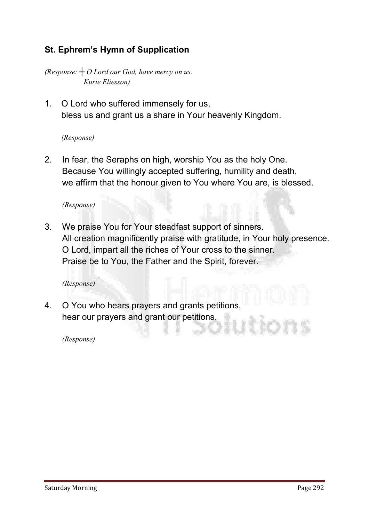# St. Ephrem's Hymn of Supplication

*(Response: ┼ O Lord our God, have mercy on us. Kurie Eliesson)*

**1. O Lord who suffered immensely for us, bless us and grant us a share in Your heavenly Kingdom.**

#### *(Response)*

**2. In fear, the Seraphs on high, worship You as the holy One. Because You willingly accepted suffering, humility and death, we affirm that the honour given to You where You are, is blessed.**

*(Response)* 

**3. We praise You for Your steadfast support of sinners. All creation magnificently praise with gratitude, in Your holy presence. O Lord, impart all the riches of Your cross to the sinner. Praise be to You, the Father and the Spirit, forever.**

*(Response)* 

**4. O You who hears prayers and grants petitions, hear our prayers and grant our petitions.**

*(Response)*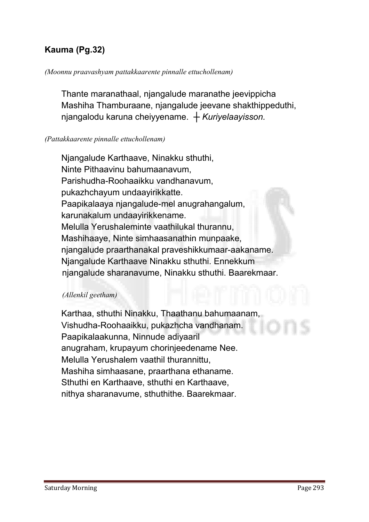# Kauma (Pg.32)

#### *(Moonnu praavashyam pattakkaarente pinnalle ettuchollenam)*

**Thante maranathaal, njangalude maranathe jeevippicha Mashiha Thamburaane, njangalude jeevane shakthippeduthi, njangalodu karuna cheiyyename.** *┼ Kuriyelaayisson.*

#### *(Pattakkaarente pinnalle ettuchollenam)*

**Njangalude Karthaave, Ninakku sthuthi, Ninte Pithaavinu bahumaanavum, Parishudha-Roohaaikku vandhanavum, pukazhchayum undaayirikkatte. Paapikalaaya njangalude-mel anugrahangalum, karunakalum undaayirikkename. Melulla Yerushaleminte vaathilukal thurannu, Mashihaaye, Ninte simhaasanathin munpaake, njangalude praarthanakal praveshikkumaar-aakaname. Njangalude Karthaave Ninakku sthuthi. Ennekkum njangalude sharanavume, Ninakku sthuthi. Baarekmaar.** 

#### *(Allenkil geetham)*

**Karthaa, sthuthi Ninakku, Thaathanu bahumaanam, Vishudha-Roohaaikku, pukazhcha vandhanam. Paapikalaakunna, Ninnude adiyaaril anugraham, krupayum chorinjeedename Nee. Melulla Yerushalem vaathil thurannittu, Mashiha simhaasane, praarthana ethaname. Sthuthi en Karthaave, sthuthi en Karthaave, nithya sharanavume, sthuthithe. Baarekmaar.**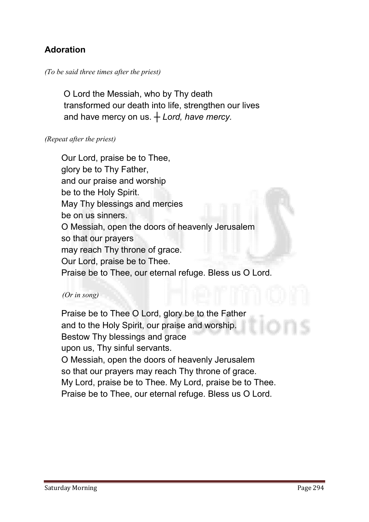# Adoration

#### *(To be said three times after the priest)*

 **O Lord the Messiah, who by Thy death transformed our death into life, strengthen our lives and have mercy on us.** *┼ Lord, have mercy.*

#### *(Repeat after the priest)*

**Our Lord, praise be to Thee, glory be to Thy Father, and our praise and worship be to the Holy Spirit. May Thy blessings and mercies be on us sinners. O Messiah, open the doors of heavenly Jerusalem so that our prayers may reach Thy throne of grace. Our Lord, praise be to Thee. Praise be to Thee, our eternal refuge. Bless us O Lord.**

#### *(Or in song)*

**Praise be to Thee O Lord, glory be to the Father and to the Holy Spirit, our praise and worship. Bestow Thy blessings and grace upon us, Thy sinful servants. O Messiah, open the doors of heavenly Jerusalem so that our prayers may reach Thy throne of grace. My Lord, praise be to Thee. My Lord, praise be to Thee. Praise be to Thee, our eternal refuge. Bless us O Lord.**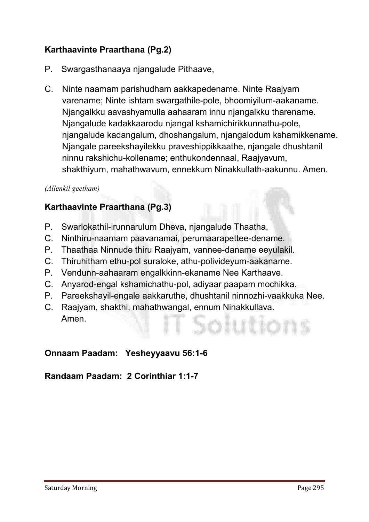# Karthaavinte Praarthana (Pg.2)

- **P. Swargasthanaaya njangalude Pithaave,**
- **C. Ninte naamam parishudham aakkapedename. Ninte Raajyam varename; Ninte ishtam swargathile-pole, bhoomiyilum-aakaname. Njangalkku aavashyamulla aahaaram innu njangalkku tharename. Njangalude kadakkaarodu njangal kshamichirikkunnathu-pole, njangalude kadangalum, dhoshangalum, njangalodum kshamikkename. Njangale pareekshayilekku praveshippikkaathe, njangale dhushtanil ninnu rakshichu-kollename; enthukondennaal, Raajyavum, shakthiyum, mahathwavum, ennekkum Ninakkullath-aakunnu. Amen.**

#### *(Allenkil geetham)*

# Karthaavinte Praarthana (Pg.3)

- **P. Swarlokathil-irunnarulum Dheva, njangalude Thaatha,**
- **C. Ninthiru-naamam paavanamai, perumaarapettee-dename.**
- **P. Thaathaa Ninnude thiru Raajyam, vannee-daname eeyulakil.**
- **C. Thiruhitham ethu-pol suraloke, athu-polivideyum-aakaname.**
- **P. Vendunn-aahaaram engalkkinn-ekaname Nee Karthaave.**
- **C. Anyarod-engal kshamichathu-pol, adiyaar paapam mochikka.**
- **P. Pareekshayil-engale aakkaruthe, dhushtanil ninnozhi-vaakkuka Nee.**
- **C. Raajyam, shakthi, mahathwangal, ennum Ninakkullava. Amen.**

# Onnaam Paadam: Yesheyyaavu 56:1-6

# Randaam Paadam:2 Corinthiar 1:1-7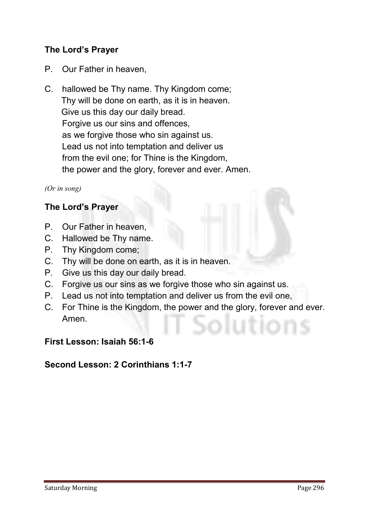# The Lord's Prayer

- **P. Our Father in heaven,**
- **C. hallowed be Thy name. Thy Kingdom come; Thy will be done on earth, as it is in heaven. Give us this day our daily bread. Forgive us our sins and offences, as we forgive those who sin against us. Lead us not into temptation and deliver us from the evil one; for Thine is the Kingdom, the power and the glory, forever and ever. Amen.**

*(Or in song)*

#### The Lord's Prayer

- **P. Our Father in heaven,**
- **C. Hallowed be Thy name.**
- **P. Thy Kingdom come;**
- **C. Thy will be done on earth, as it is in heaven.**
- **P. Give us this day our daily bread.**
- **C. Forgive us our sins as we forgive those who sin against us.**
- **P. Lead us not into temptation and deliver us from the evil one,**
- **C. For Thine is the Kingdom, the power and the glory, forever and ever. Amen.**

#### First Lesson: Isaiah 56:1-6

# Second Lesson: 2 Corinthians 1:1-7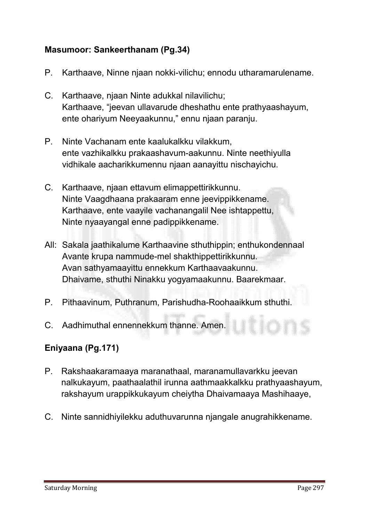# Masumoor: Sankeerthanam (Pg.34)

- **P. Karthaave, Ninne njaan nokki-vilichu; ennodu utharamarulename.**
- **C. Karthaave, njaan Ninte adukkal nilavilichu; Karthaave, "jeevan ullavarude dheshathu ente prathyaashayum, ente ohariyum Neeyaakunnu," ennu njaan paranju.**
- **P. Ninte Vachanam ente kaalukalkku vilakkum, ente vazhikalkku prakaashavum-aakunnu. Ninte neethiyulla vidhikale aacharikkumennu njaan aanayittu nischayichu.**
- **C. Karthaave, njaan ettavum elimappettirikkunnu. Ninte Vaagdhaana prakaaram enne jeevippikkename. Karthaave, ente vaayile vachanangalil Nee ishtappettu, Ninte nyaayangal enne padippikkename.**
- **All: Sakala jaathikalume Karthaavine sthuthippin; enthukondennaal Avante krupa nammude-mel shakthippettirikkunnu. Avan sathyamaayittu ennekkum Karthaavaakunnu. Dhaivame, sthuthi Ninakku yogyamaakunnu. Baarekmaar.**
- **P. Pithaavinum, Puthranum, Parishudha-Roohaaikkum sthuthi.**
- **C. Aadhimuthal ennennekkum thanne. Amen.**

# Eniyaana (Pg.171)

- **P. Rakshaakaramaaya maranathaal, maranamullavarkku jeevan nalkukayum, paathaalathil irunna aathmaakkalkku prathyaashayum, rakshayum urappikkukayum cheiytha Dhaivamaaya Mashihaaye,**
- **C. Ninte sannidhiyilekku aduthuvarunna njangale anugrahikkename.**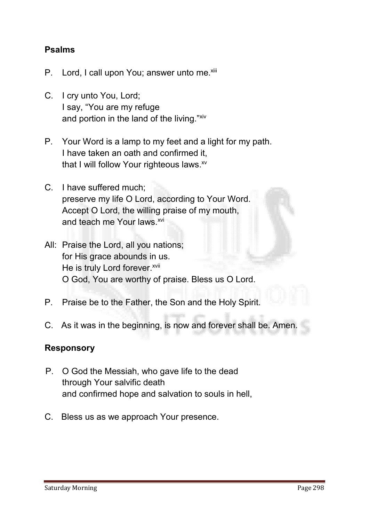# Psalms

- **P.** Lord, I call upon You; answer unto me.<sup>xiii</sup>
- **C. I cry unto You, Lord; I say, "You are my refuge and portion in the land of the living."xiv**
- **P. Your Word is a lamp to my feet and a light for my path. I have taken an oath and confirmed it, that I will follow Your righteous laws. xv**
- **C. I have suffered much; preserve my life O Lord, according to Your Word. Accept O Lord, the willing praise of my mouth,**  and teach me Your laws.<sup>xvi</sup>
- **All: Praise the Lord, all you nations; for His grace abounds in us. He is truly Lord forever.**<sup>xvii</sup> **O God, You are worthy of praise. Bless us O Lord.**
- **P. Praise be to the Father, the Son and the Holy Spirit.**
- **C. As it was in the beginning, is now and forever shall be. Amen.**

#### **Responsory**

- **P. O God the Messiah, who gave life to the dead through Your salvific death and confirmed hope and salvation to souls in hell,**
- **C. Bless us as we approach Your presence.**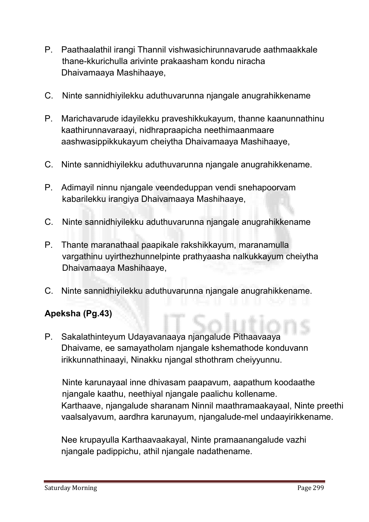- **P. Paathaalathil irangi Thannil vishwasichirunnavarude aathmaakkale thane-kkurichulla arivinte prakaasham kondu niracha Dhaivamaaya Mashihaaye,**
- **C. Ninte sannidhiyilekku aduthuvarunna njangale anugrahikkename**
- **P. Marichavarude idayilekku praveshikkukayum, thanne kaanunnathinu kaathirunnavaraayi, nidhrapraapicha neethimaanmaare aashwasippikkukayum cheiytha Dhaivamaaya Mashihaaye,**
- **C. Ninte sannidhiyilekku aduthuvarunna njangale anugrahikkename.**
- **P. Adimayil ninnu njangale veendeduppan vendi snehapoorvam kabarilekku irangiya Dhaivamaaya Mashihaaye,**
- **C. Ninte sannidhiyilekku aduthuvarunna njangale anugrahikkename**
- **P. Thante maranathaal paapikale rakshikkayum, maranamulla vargathinu uyirthezhunnelpinte prathyaasha nalkukkayum cheiytha Dhaivamaaya Mashihaaye,**
- **C. Ninte sannidhiyilekku aduthuvarunna njangale anugrahikkename.**

# Apeksha (Pg.43)

**P. Sakalathinteyum Udayavanaaya njangalude Pithaavaaya Dhaivame, ee samayatholam njangale kshemathode konduvann irikkunnathinaayi, Ninakku njangal sthothram cheiyyunnu.** 

**Ninte karunayaal inne dhivasam paapavum, aapathum koodaathe njangale kaathu, neethiyal njangale paalichu kollename. Karthaave, njangalude sharanam Ninnil maathramaakayaal, Ninte preethi vaalsalyavum, aardhra karunayum, njangalude-mel undaayirikkename.** 

**Nee krupayulla Karthaavaakayal, Ninte pramaanangalude vazhi njangale padippichu, athil njangale nadathename.**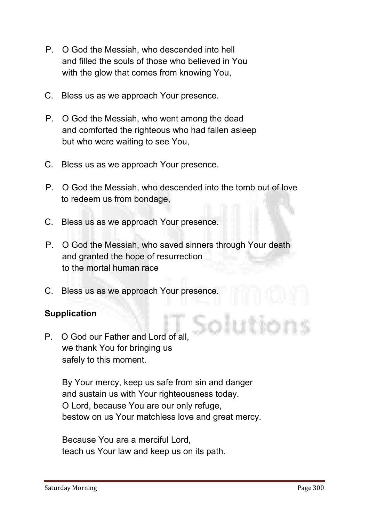- **P. O God the Messiah, who descended into hell and filled the souls of those who believed in You with the glow that comes from knowing You,**
- **C. Bless us as we approach Your presence.**
- **P. O God the Messiah, who went among the dead and comforted the righteous who had fallen asleep but who were waiting to see You,**
- **C. Bless us as we approach Your presence.**
- **P. O God the Messiah, who descended into the tomb out of love to redeem us from bondage,**
- **C. Bless us as we approach Your presence.**
- **P. O God the Messiah, who saved sinners through Your death and granted the hope of resurrection to the mortal human race**
- **C. Bless us as we approach Your presence.**

# **Supplication**

**P. O God our Father and Lord of all, we thank You for bringing us safely to this moment.**

> **By Your mercy, keep us safe from sin and danger and sustain us with Your righteousness today. O Lord, because You are our only refuge, bestow on us Your matchless love and great mercy.**

**Because You are a merciful Lord, teach us Your law and keep us on its path.**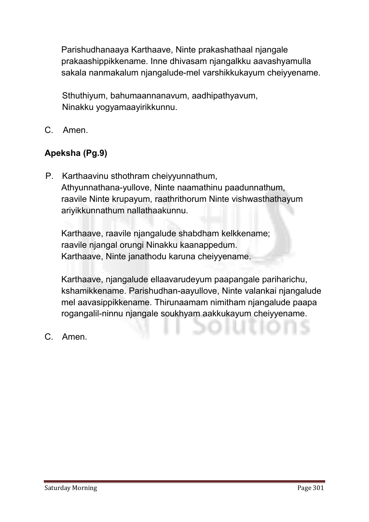**Parishudhanaaya Karthaave, Ninte prakashathaal njangale prakaashippikkename. Inne dhivasam njangalkku aavashyamulla sakala nanmakalum njangalude-mel varshikkukayum cheiyyename.** 

**Sthuthiyum, bahumaannanavum, aadhipathyavum, Ninakku yogyamaayirikkunnu.**

**C. Amen.**

# Apeksha (Pg.9)

**P. Karthaavinu sthothram cheiyyunnathum, Athyunnathana-yullove, Ninte naamathinu paadunnathum, raavile Ninte krupayum, raathrithorum Ninte vishwasthathayum ariyikkunnathum nallathaakunnu.** 

**Karthaave, raavile njangalude shabdham kelkkename; raavile njangal orungi Ninakku kaanappedum. Karthaave, Ninte janathodu karuna cheiyyename.** 

**Karthaave, njangalude ellaavarudeyum paapangale pariharichu, kshamikkename. Parishudhan-aayullove, Ninte valankai njangalude mel aavasippikkename. Thirunaamam nimitham njangalude paapa rogangalil-ninnu njangale soukhyam aakkukayum cheiyyename.**

**C. Amen.**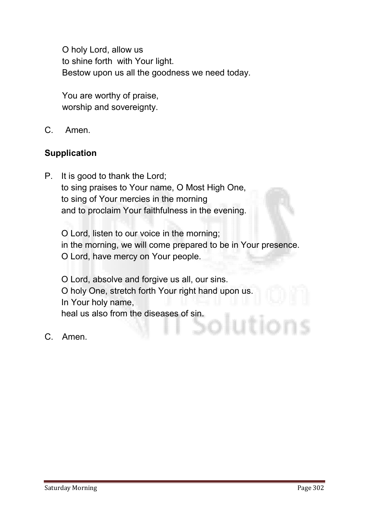**O holy Lord, allow us to shine forth with Your light. Bestow upon us all the goodness we need today.**

**You are worthy of praise, worship and sovereignty.**

**C. Amen.**

# **Supplication**

**P. It is good to thank the Lord; to sing praises to Your name, O Most High One, to sing of Your mercies in the morning and to proclaim Your faithfulness in the evening.**

**O Lord, listen to our voice in the morning; in the morning, we will come prepared to be in Your presence. O Lord, have mercy on Your people.** 

**O Lord, absolve and forgive us all, our sins. O holy One, stretch forth Your right hand upon us. In Your holy name, heal us also from the diseases of sin.**

**C. Amen.**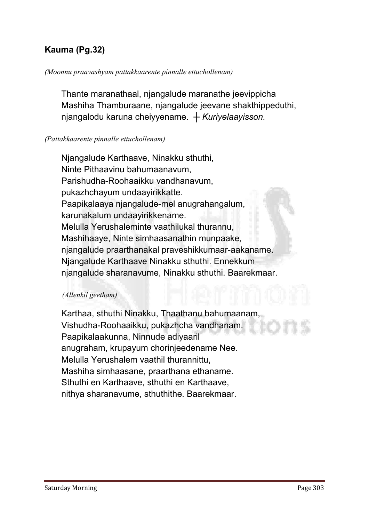# Kauma (Pg.32)

#### *(Moonnu praavashyam pattakkaarente pinnalle ettuchollenam)*

**Thante maranathaal, njangalude maranathe jeevippicha Mashiha Thamburaane, njangalude jeevane shakthippeduthi, njangalodu karuna cheiyyename.** *┼ Kuriyelaayisson.*

#### *(Pattakkaarente pinnalle ettuchollenam)*

**Njangalude Karthaave, Ninakku sthuthi, Ninte Pithaavinu bahumaanavum, Parishudha-Roohaaikku vandhanavum, pukazhchayum undaayirikkatte. Paapikalaaya njangalude-mel anugrahangalum, karunakalum undaayirikkename. Melulla Yerushaleminte vaathilukal thurannu, Mashihaaye, Ninte simhaasanathin munpaake, njangalude praarthanakal praveshikkumaar-aakaname. Njangalude Karthaave Ninakku sthuthi. Ennekkum njangalude sharanavume, Ninakku sthuthi. Baarekmaar.** 

#### *(Allenkil geetham)*

**Karthaa, sthuthi Ninakku, Thaathanu bahumaanam, Vishudha-Roohaaikku, pukazhcha vandhanam. Paapikalaakunna, Ninnude adiyaaril anugraham, krupayum chorinjeedename Nee. Melulla Yerushalem vaathil thurannittu, Mashiha simhaasane, praarthana ethaname. Sthuthi en Karthaave, sthuthi en Karthaave, nithya sharanavume, sthuthithe. Baarekmaar.**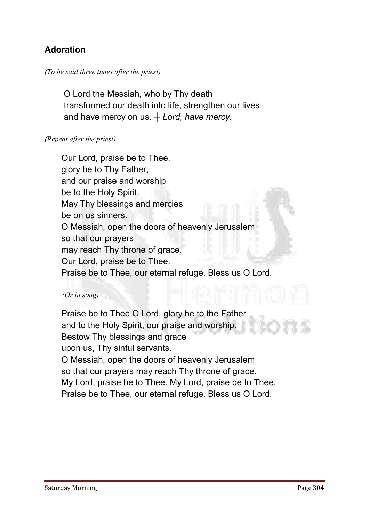# Adoration

#### *(To be said three times after the priest)*

 **O Lord the Messiah, who by Thy death transformed our death into life, strengthen our lives and have mercy on us.** *┼ Lord, have mercy.*

#### *(Repeat after the priest)*

**Our Lord, praise be to Thee, glory be to Thy Father, and our praise and worship be to the Holy Spirit. May Thy blessings and mercies be on us sinners. O Messiah, open the doors of heavenly Jerusalem so that our prayers may reach Thy throne of grace. Our Lord, praise be to Thee. Praise be to Thee, our eternal refuge. Bless us O Lord.**

#### *(Or in song)*

**Praise be to Thee O Lord, glory be to the Father and to the Holy Spirit, our praise and worship. Bestow Thy blessings and grace upon us, Thy sinful servants. O Messiah, open the doors of heavenly Jerusalem so that our prayers may reach Thy throne of grace. My Lord, praise be to Thee. My Lord, praise be to Thee. Praise be to Thee, our eternal refuge. Bless us O Lord.**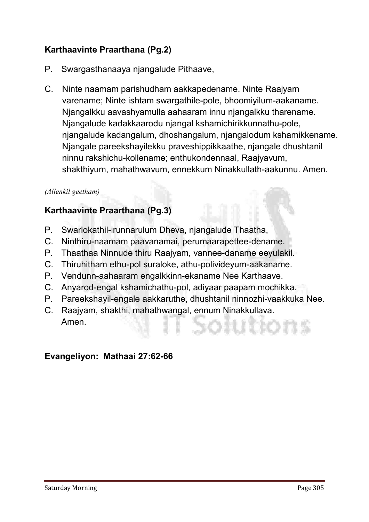# Karthaavinte Praarthana (Pg.2)

- **P. Swargasthanaaya njangalude Pithaave,**
- **C. Ninte naamam parishudham aakkapedename. Ninte Raajyam varename; Ninte ishtam swargathile-pole, bhoomiyilum-aakaname. Njangalkku aavashyamulla aahaaram innu njangalkku tharename. Njangalude kadakkaarodu njangal kshamichirikkunnathu-pole, njangalude kadangalum, dhoshangalum, njangalodum kshamikkename. Njangale pareekshayilekku praveshippikkaathe, njangale dhushtanil ninnu rakshichu-kollename; enthukondennaal, Raajyavum, shakthiyum, mahathwavum, ennekkum Ninakkullath-aakunnu. Amen.**

#### *(Allenkil geetham)*

# Karthaavinte Praarthana (Pg.3)

- **P. Swarlokathil-irunnarulum Dheva, njangalude Thaatha,**
- **C. Ninthiru-naamam paavanamai, perumaarapettee-dename.**
- **P. Thaathaa Ninnude thiru Raajyam, vannee-daname eeyulakil.**
- **C. Thiruhitham ethu-pol suraloke, athu-polivideyum-aakaname.**
- **P. Vendunn-aahaaram engalkkinn-ekaname Nee Karthaave.**
- **C. Anyarod-engal kshamichathu-pol, adiyaar paapam mochikka.**
- **P. Pareekshayil-engale aakkaruthe, dhushtanil ninnozhi-vaakkuka Nee.**
- **C. Raajyam, shakthi, mahathwangal, ennum Ninakkullava. Amen.**

# Evangeliyon: Mathaai 27:62-66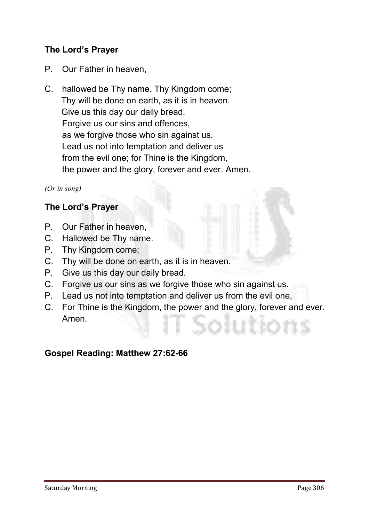# The Lord's Prayer

- **P. Our Father in heaven,**
- **C. hallowed be Thy name. Thy Kingdom come; Thy will be done on earth, as it is in heaven. Give us this day our daily bread. Forgive us our sins and offences, as we forgive those who sin against us. Lead us not into temptation and deliver us from the evil one; for Thine is the Kingdom, the power and the glory, forever and ever. Amen.**

*(Or in song)*

#### The Lord's Prayer

- **P. Our Father in heaven,**
- **C. Hallowed be Thy name.**
- **P. Thy Kingdom come;**
- **C. Thy will be done on earth, as it is in heaven.**
- **P. Give us this day our daily bread.**
- **C. Forgive us our sins as we forgive those who sin against us.**
- **P. Lead us not into temptation and deliver us from the evil one,**
- **C. For Thine is the Kingdom, the power and the glory, forever and ever. Amen.**

# Gospel Reading: Matthew 27:62-66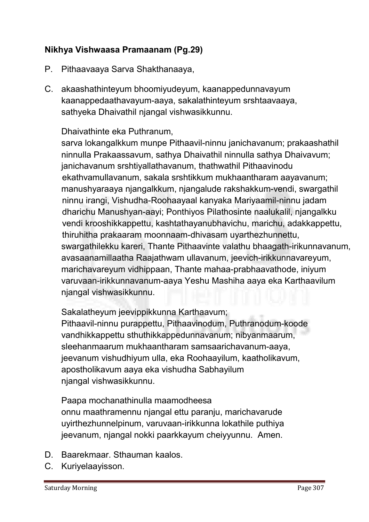# Nikhya Vishwaasa Pramaanam (Pg.29)

- **P. Pithaavaaya Sarva Shakthanaaya,**
- **C. akaashathinteyum bhoomiyudeyum, kaanappedunnavayum kaanappedaathavayum-aaya, sakalathinteyum srshtaavaaya, sathyeka Dhaivathil njangal vishwasikkunnu.**

#### **Dhaivathinte eka Puthranum,**

**sarva lokangalkkum munpe Pithaavil-ninnu janichavanum; prakaashathil ninnulla Prakaassavum, sathya Dhaivathil ninnulla sathya Dhaivavum; janichavanum srshtiyallathavanum, thathwathil Pithaavinodu ekathvamullavanum, sakala srshtikkum mukhaantharam aayavanum; manushyaraaya njangalkkum, njangalude rakshakkum-vendi, swargathil ninnu irangi, Vishudha-Roohaayaal kanyaka Mariyaamil-ninnu jadam dharichu Manushyan-aayi; Ponthiyos Pilathosinte naalukalil, njangalkku vendi krooshikkappettu, kashtathayanubhavichu, marichu, adakkappettu, thiruhitha prakaaram moonnaam-dhivasam uyarthezhunnettu, swargathilekku kareri, Thante Pithaavinte valathu bhaagath-irikunnavanum, avasaanamillaatha Raajathwam ullavanum, jeevich-irikkunnavareyum, marichavareyum vidhippaan, Thante mahaa-prabhaavathode, iniyum varuvaan-irikkunnavanum-aaya Yeshu Mashiha aaya eka Karthaavilum njangal vishwasikkunnu.**

**Sakalatheyum jeevippikkunna Karthaavum;**

**Pithaavil-ninnu purappettu, Pithaavinodum, Puthranodum-koode vandhikkappettu sthuthikkappedunnavanum; nibyanmaarum, sleehanmaarum mukhaantharam samsaarichavanum-aaya, jeevanum vishudhiyum ulla, eka Roohaayilum, kaatholikavum, apostholikavum aaya eka vishudha Sabhayilum njangal vishwasikkunnu.**

**Paapa mochanathinulla maamodheesa onnu maathramennu njangal ettu paranju, marichavarude uyirthezhunnelpinum, varuvaan-irikkunna lokathile puthiya jeevanum, njangal nokki paarkkayum cheiyyunnu. Amen.**

- **D. Baarekmaar. Sthauman kaalos.**
- **C. Kuriyelaayisson.**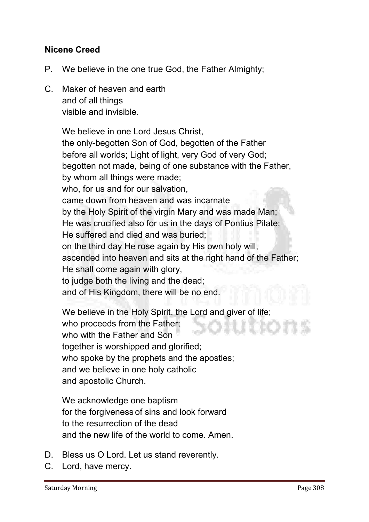# Nicene Creed

- **P. We believe in the one true God, the Father Almighty;**
- **C. Maker of heaven and earth and of all things visible and invisible.**

**We believe in one Lord Jesus Christ, the only-begotten Son of God, begotten of the Father before all worlds; Light of light, very God of very God; begotten not made, being of one substance with the Father, by whom all things were made; who, for us and for our salvation, came down from heaven and was incarnate by the Holy Spirit of the virgin Mary and was made Man; He was crucified also for us in the days of Pontius Pilate; He suffered and died and was buried; on the third day He rose again by His own holy will, ascended into heaven and sits at the right hand of the Father; He shall come again with glory, to judge both the living and the dead; and of His Kingdom, there will be no end.** 

**We believe in the Holy Spirit, the Lord and giver of life; who proceeds from the Father; who with the Father and Son together is worshipped and glorified; who spoke by the prophets and the apostles; and we believe in one holy catholic and apostolic Church.**

**We acknowledge one baptism for the forgiveness of sins and look forward to the resurrection of the dead and the new life of the world to come. Amen.** 

- **D. Bless us O Lord. Let us stand reverently.**
- **C. Lord, have mercy.**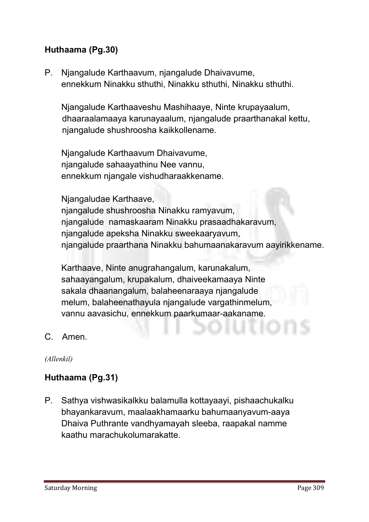# Huthaama (Pg.30)

**P. Njangalude Karthaavum, njangalude Dhaivavume, ennekkum Ninakku sthuthi, Ninakku sthuthi, Ninakku sthuthi.**

**Njangalude Karthaaveshu Mashihaaye, Ninte krupayaalum, dhaaraalamaaya karunayaalum, njangalude praarthanakal kettu, njangalude shushroosha kaikkollename.**

**Njangalude Karthaavum Dhaivavume, njangalude sahaayathinu Nee vannu, ennekkum njangale vishudharaakkename.** 

**Njangaludae Karthaave,** 

**njangalude shushroosha Ninakku ramyavum, njangalude namaskaaram Ninakku prasaadhakaravum, njangalude apeksha Ninakku sweekaaryavum, njangalude praarthana Ninakku bahumaanakaravum aayirikkename.** 

**Karthaave, Ninte anugrahangalum, karunakalum, sahaayangalum, krupakalum, dhaiveekamaaya Ninte sakala dhaanangalum, balaheenaraaya njangalude melum, balaheenathayula njangalude vargathinmelum, vannu aavasichu, ennekkum paarkumaar-aakaname.**

**C. Amen.**

*(Allenkil)*

# Huthaama (Pg.31)

**P. Sathya vishwasikalkku balamulla kottayaayi, pishaachukalku bhayankaravum, maalaakhamaarku bahumaanyavum-aaya Dhaiva Puthrante vandhyamayah sleeba, raapakal namme kaathu marachukolumarakatte.**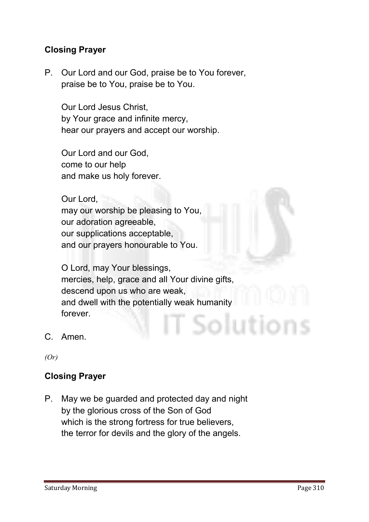# Closing Prayer

**P. Our Lord and our God, praise be to You forever, praise be to You, praise be to You.**

**Our Lord Jesus Christ, by Your grace and infinite mercy, hear our prayers and accept our worship.** 

**Our Lord and our God, come to our help and make us holy forever.** 

**Our Lord, may our worship be pleasing to You, our adoration agreeable, our supplications acceptable, and our prayers honourable to You.** 

**O Lord, may Your blessings, mercies, help, grace and all Your divine gifts, descend upon us who are weak, and dwell with the potentially weak humanity forever.** Solution

**C. Amen.**

*(Or)*

# Closing Prayer

**P. May we be guarded and protected day and night by the glorious cross of the Son of God which is the strong fortress for true believers, the terror for devils and the glory of the angels.**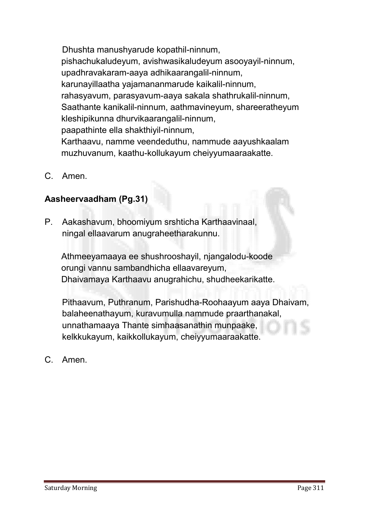**Dhushta manushyarude kopathil-ninnum, pishachukaludeyum, avishwasikaludeyum asooyayil-ninnum, upadhravakaram-aaya adhikaarangalil-ninnum, karunayillaatha yajamananmarude kaikalil-ninnum, rahasyavum, parasyavum-aaya sakala shathrukalil-ninnum, Saathante kanikalil-ninnum, aathmavineyum, shareeratheyum kleshipikunna dhurvikaarangalil-ninnum, paapathinte ella shakthiyil-ninnum, Karthaavu, namme veendeduthu, nammude aayushkaalam muzhuvanum, kaathu-kollukayum cheiyyumaaraakatte.**

**C. Amen.**

# Aasheervaadham (Pg.31)

**P. Aakashavum, bhoomiyum srshticha Karthaavinaal, ningal ellaavarum anugraheetharakunnu.**

**Athmeeyamaaya ee shushrooshayil, njangalodu-koode orungi vannu sambandhicha ellaavareyum, Dhaivamaya Karthaavu anugrahichu, shudheekarikatte.**

**Pithaavum, Puthranum, Parishudha-Roohaayum aaya Dhaivam, balaheenathayum, kuravumulla nammude praarthanakal, unnathamaaya Thante simhaasanathin munpaake, kelkkukayum, kaikkollukayum, cheiyyumaaraakatte.**

**C. Amen.**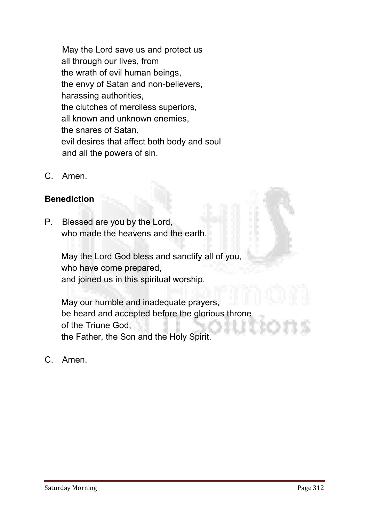**May the Lord save us and protect us all through our lives, from the wrath of evil human beings, the envy of Satan and non-believers, harassing authorities, the clutches of merciless superiors, all known and unknown enemies, the snares of Satan, evil desires that affect both body and soul and all the powers of sin.**

**C. Amen.**

# **Benediction**

**P. Blessed are you by the Lord, who made the heavens and the earth.** 

**May the Lord God bless and sanctify all of you, who have come prepared, and joined us in this spiritual worship.** 

**May our humble and inadequate prayers, be heard and accepted before the glorious throne of the Triune God, the Father, the Son and the Holy Spirit.**

**C. Amen.**